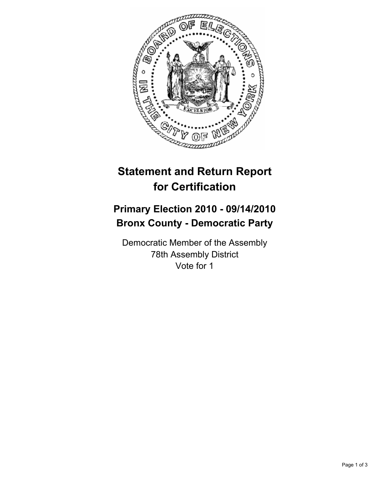

## **Statement and Return Report for Certification**

## **Primary Election 2010 - 09/14/2010 Bronx County - Democratic Party**

Democratic Member of the Assembly 78th Assembly District Vote for 1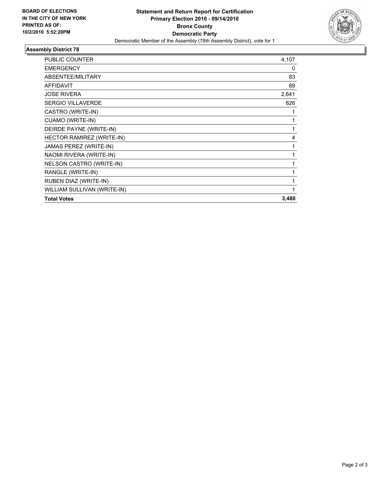

## **Assembly District 78**

| <b>PUBLIC COUNTER</b>       | 4,107 |
|-----------------------------|-------|
| <b>EMERGENCY</b>            | 0     |
| ABSENTEE/MILITARY           | 83    |
| <b>AFFIDAVIT</b>            | 89    |
| <b>JOSE RIVERA</b>          | 2,641 |
| <b>SERGIO VILLAVERDE</b>    | 826   |
| CASTRO (WRITE-IN)           | 1     |
| CUAMO (WRITE-IN)            | 1     |
| DEIRDE PAYNE (WRITE-IN)     | 1     |
| HECTOR RAMIREZ (WRITE-IN)   | 4     |
| JAMAS PEREZ (WRITE-IN)      | 1     |
| NAOMI RIVERA (WRITE-IN)     | 1     |
| NELSON CASTRO (WRITE-IN)    | 1     |
| RANGLE (WRITE-IN)           | 1     |
| RUBEN DIAZ (WRITE-IN)       | 1     |
| WILLIAM SULLIVAN (WRITE-IN) | 1     |
| <b>Total Votes</b>          | 3,480 |